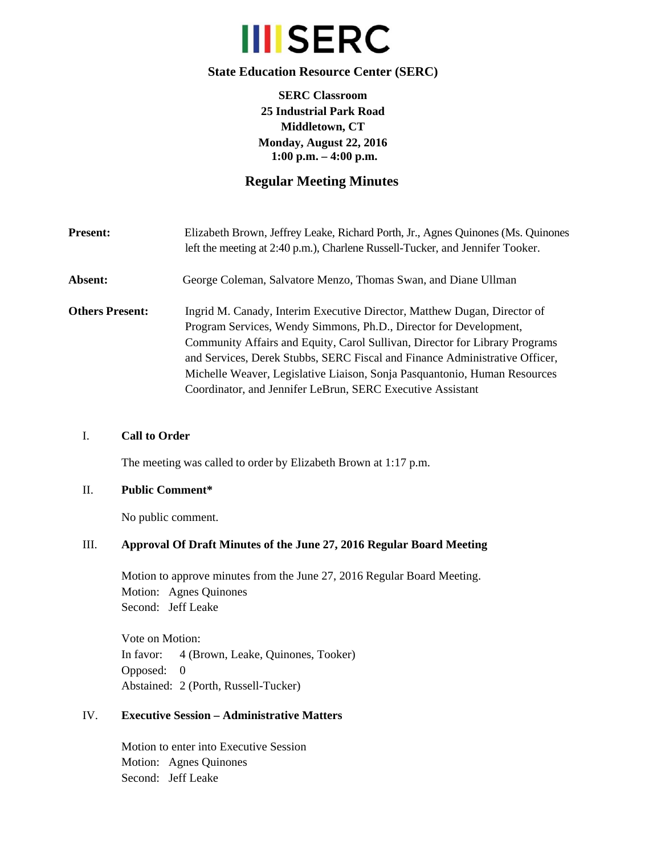

# **State Education Resource Center (SERC)**

**SERC Classroom 25 Industrial Park Road Middletown, CT Monday, August 22, 2016 1:00 p.m. – 4:00 p.m.** 

# **Regular Meeting Minutes**

| <b>Present:</b>        | Elizabeth Brown, Jeffrey Leake, Richard Porth, Jr., Agnes Quinones (Ms. Quinones<br>left the meeting at 2:40 p.m.), Charlene Russell-Tucker, and Jennifer Tooker. |
|------------------------|-------------------------------------------------------------------------------------------------------------------------------------------------------------------|
| <b>Absent:</b>         | George Coleman, Salvatore Menzo, Thomas Swan, and Diane Ullman                                                                                                    |
| <b>Others Present:</b> | Ingrid M. Canady, Interim Executive Director, Matthew Dugan, Director of                                                                                          |
|                        | Program Services, Wendy Simmons, Ph.D., Director for Development,                                                                                                 |
|                        | Community Affairs and Equity, Carol Sullivan, Director for Library Programs                                                                                       |
|                        | and Services, Derek Stubbs, SERC Fiscal and Finance Administrative Officer,                                                                                       |
|                        | Michelle Weaver, Legislative Liaison, Sonja Pasquantonio, Human Resources                                                                                         |
|                        | Coordinator, and Jennifer LeBrun, SERC Executive Assistant                                                                                                        |

#### I. **Call to Order**

The meeting was called to order by Elizabeth Brown at 1:17 p.m.

#### II. **Public Comment\***

No public comment.

#### III. **Approval Of Draft Minutes of the June 27, 2016 Regular Board Meeting**

Motion to approve minutes from the June 27, 2016 Regular Board Meeting. Motion: Agnes Quinones Second: Jeff Leake

Vote on Motion: In favor: 4 (Brown, Leake, Quinones, Tooker) Opposed: 0 Abstained: 2 (Porth, Russell-Tucker)

## IV. **Executive Session – Administrative Matters**

Motion to enter into Executive Session Motion: Agnes Quinones Second: Jeff Leake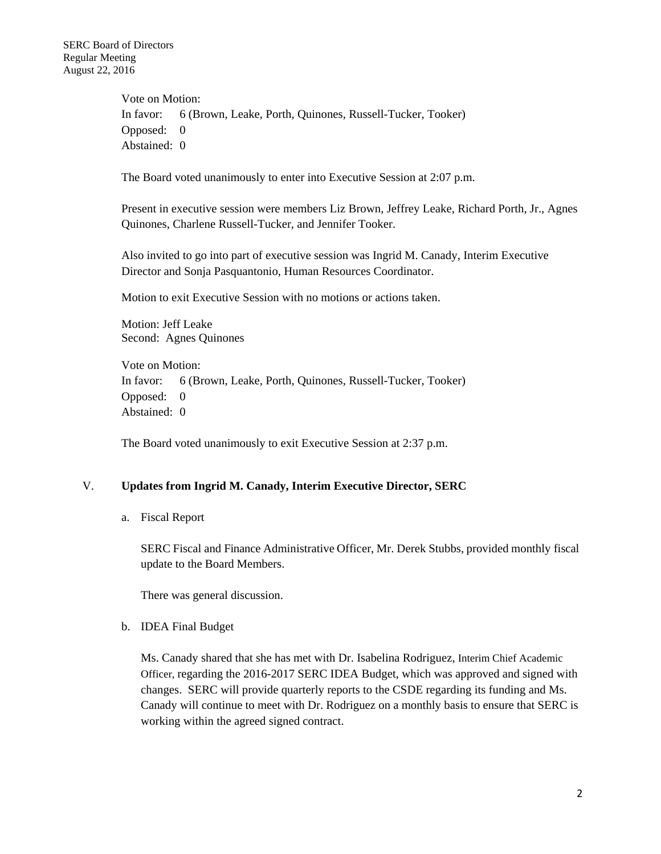SERC Board of Directors Regular Meeting August 22, 2016

> Vote on Motion: In favor: 6 (Brown, Leake, Porth, Quinones, Russell-Tucker, Tooker) Opposed: 0 Abstained: 0

The Board voted unanimously to enter into Executive Session at 2:07 p.m.

Present in executive session were members Liz Brown, Jeffrey Leake, Richard Porth, Jr., Agnes Quinones, Charlene Russell-Tucker, and Jennifer Tooker.

Also invited to go into part of executive session was Ingrid M. Canady, Interim Executive Director and Sonja Pasquantonio, Human Resources Coordinator.

Motion to exit Executive Session with no motions or actions taken.

Motion: Jeff Leake Second: Agnes Quinones

Vote on Motion: In favor: 6 (Brown, Leake, Porth, Quinones, Russell-Tucker, Tooker) Opposed: 0 Abstained: 0

The Board voted unanimously to exit Executive Session at 2:37 p.m.

#### V. **Updates from Ingrid M. Canady, Interim Executive Director, SERC**

a. Fiscal Report

SERC Fiscal and Finance Administrative Officer, Mr. Derek Stubbs, provided monthly fiscal update to the Board Members.

There was general discussion.

b. IDEA Final Budget

Ms. Canady shared that she has met with Dr. Isabelina Rodriguez, Interim Chief Academic Officer, regarding the 2016-2017 SERC IDEA Budget, which was approved and signed with changes. SERC will provide quarterly reports to the CSDE regarding its funding and Ms. Canady will continue to meet with Dr. Rodriguez on a monthly basis to ensure that SERC is working within the agreed signed contract.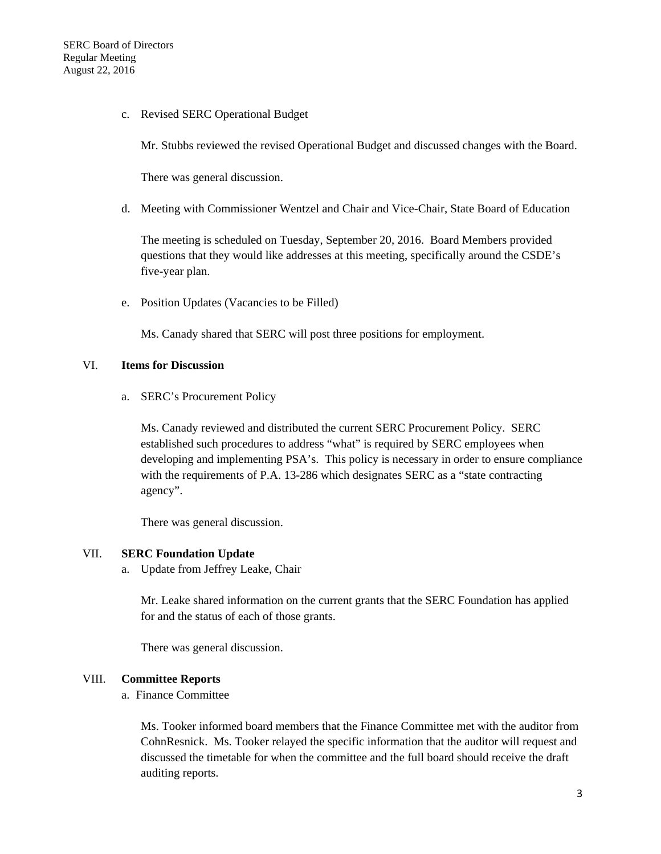c. Revised SERC Operational Budget

Mr. Stubbs reviewed the revised Operational Budget and discussed changes with the Board.

There was general discussion.

d. Meeting with Commissioner Wentzel and Chair and Vice-Chair, State Board of Education

The meeting is scheduled on Tuesday, September 20, 2016. Board Members provided questions that they would like addresses at this meeting, specifically around the CSDE's five-year plan.

e. Position Updates (Vacancies to be Filled)

Ms. Canady shared that SERC will post three positions for employment.

### VI. **Items for Discussion**

a. SERC's Procurement Policy

Ms. Canady reviewed and distributed the current SERC Procurement Policy. SERC established such procedures to address "what" is required by SERC employees when developing and implementing PSA's. This policy is necessary in order to ensure compliance with the requirements of P.A. 13-286 which designates SERC as a "state contracting agency".

There was general discussion.

#### VII. **SERC Foundation Update**

a. Update from Jeffrey Leake, Chair

Mr. Leake shared information on the current grants that the SERC Foundation has applied for and the status of each of those grants.

There was general discussion.

## VIII. **Committee Reports**

a. Finance Committee

Ms. Tooker informed board members that the Finance Committee met with the auditor from CohnResnick. Ms. Tooker relayed the specific information that the auditor will request and discussed the timetable for when the committee and the full board should receive the draft auditing reports.